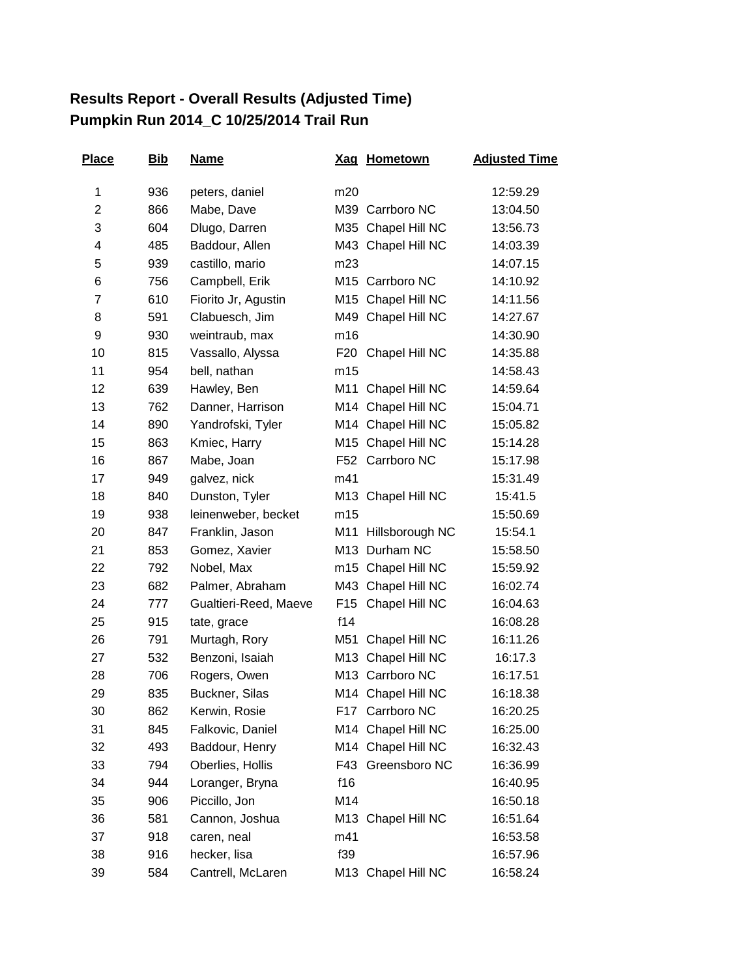## **Results Report - Overall Results (Adjusted Time) Pumpkin Run 2014\_C 10/25/2014 Trail Run**

| <b>Place</b> | <u>Bib</u> | <b>Name</b>           | <b>Xag</b>      | <b>Hometown</b>     | <b>Adjusted Time</b> |
|--------------|------------|-----------------------|-----------------|---------------------|----------------------|
| 1            | 936        | peters, daniel        | m20             |                     | 12:59.29             |
| 2            | 866        | Mabe, Dave            |                 | M39 Carrboro NC     | 13:04.50             |
| 3            | 604        | Dlugo, Darren         | M35             | Chapel Hill NC      | 13:56.73             |
| 4            | 485        | Baddour, Allen        |                 | M43 Chapel Hill NC  | 14:03.39             |
| 5            | 939        | castillo, mario       | m23             |                     | 14:07.15             |
| 6            | 756        | Campbell, Erik        |                 | M15 Carrboro NC     | 14:10.92             |
| 7            | 610        | Fiorito Jr, Agustin   | M15             | Chapel Hill NC      | 14:11.56             |
| 8            | 591        | Clabuesch, Jim        |                 | M49 Chapel Hill NC  | 14:27.67             |
| 9            | 930        | weintraub, max        | m16             |                     | 14:30.90             |
| 10           | 815        | Vassallo, Alyssa      | F20             | Chapel Hill NC      | 14:35.88             |
| 11           | 954        | bell, nathan          | m15             |                     | 14:58.43             |
| 12           | 639        | Hawley, Ben           | M11             | Chapel Hill NC      | 14:59.64             |
| 13           | 762        | Danner, Harrison      |                 | M14 Chapel Hill NC  | 15:04.71             |
| 14           | 890        | Yandrofski, Tyler     |                 | M14 Chapel Hill NC  | 15:05.82             |
| 15           | 863        | Kmiec, Harry          |                 | M15 Chapel Hill NC  | 15:14.28             |
| 16           | 867        | Mabe, Joan            |                 | F52 Carrboro NC     | 15:17.98             |
| 17           | 949        | galvez, nick          | m41             |                     | 15:31.49             |
| 18           | 840        | Dunston, Tyler        |                 | M13 Chapel Hill NC  | 15:41.5              |
| 19           | 938        | leinenweber, becket   | m15             |                     | 15:50.69             |
| 20           | 847        | Franklin, Jason       |                 | M11 Hillsborough NC | 15:54.1              |
| 21           | 853        | Gomez, Xavier         |                 | M13 Durham NC       | 15:58.50             |
| 22           | 792        | Nobel, Max            | m15             | Chapel Hill NC      | 15:59.92             |
| 23           | 682        | Palmer, Abraham       |                 | M43 Chapel Hill NC  | 16:02.74             |
| 24           | 777        | Gualtieri-Reed, Maeve | F <sub>15</sub> | Chapel Hill NC      | 16:04.63             |
| 25           | 915        | tate, grace           | f14             |                     | 16:08.28             |
| 26           | 791        | Murtagh, Rory         | M51             | Chapel Hill NC      | 16:11.26             |
| 27           | 532        | Benzoni, Isaiah       | M13             | Chapel Hill NC      | 16:17.3              |
| 28           | 706        | Rogers, Owen          |                 | M13 Carrboro NC     | 16:17.51             |
| 29           | 835        | Buckner, Silas        |                 | M14 Chapel Hill NC  | 16:18.38             |
| 30           | 862        | Kerwin, Rosie         | F17             | Carrboro NC         | 16:20.25             |
| 31           | 845        | Falkovic, Daniel      | M14             | Chapel Hill NC      | 16:25.00             |
| 32           | 493        | Baddour, Henry        |                 | M14 Chapel Hill NC  | 16:32.43             |
| 33           | 794        | Oberlies, Hollis      | F43             | Greensboro NC       | 16:36.99             |
| 34           | 944        | Loranger, Bryna       | f16             |                     | 16:40.95             |
| 35           | 906        | Piccillo, Jon         | M14             |                     | 16:50.18             |
| 36           | 581        | Cannon, Joshua        | M13             | Chapel Hill NC      | 16:51.64             |
| 37           | 918        | caren, neal           | m41             |                     | 16:53.58             |
| 38           | 916        | hecker, lisa          | f39             |                     | 16:57.96             |
| 39           | 584        | Cantrell, McLaren     |                 | M13 Chapel Hill NC  | 16:58.24             |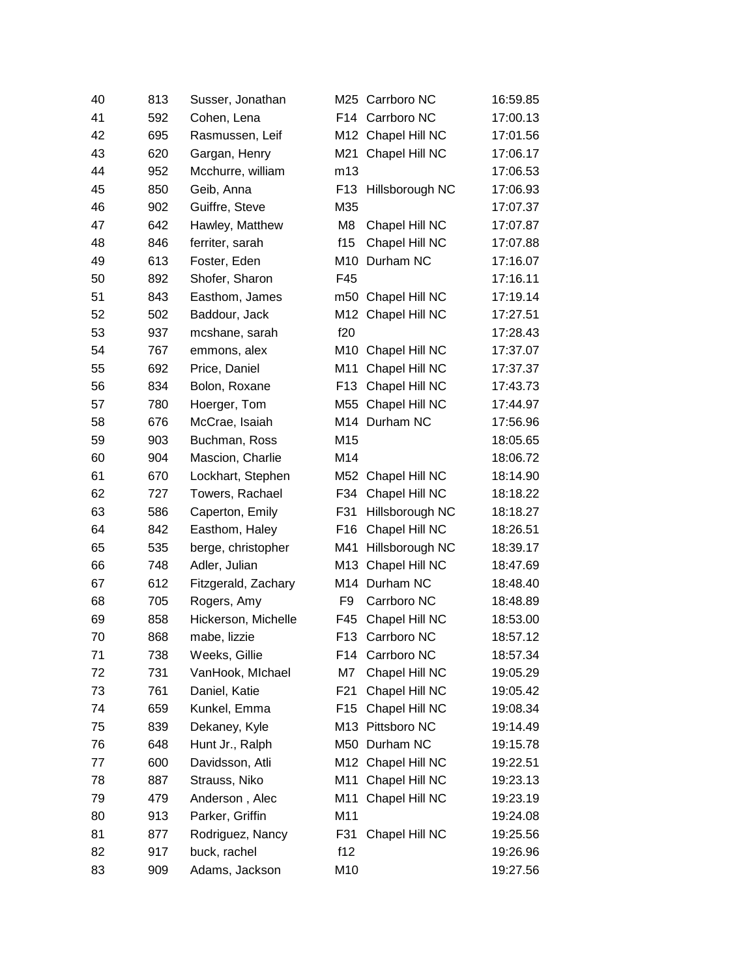| 40 | 813 | Susser, Jonathan    |                 | M25 Carrboro NC    | 16:59.85 |
|----|-----|---------------------|-----------------|--------------------|----------|
| 41 | 592 | Cohen, Lena         |                 | F14 Carrboro NC    | 17:00.13 |
| 42 | 695 | Rasmussen, Leif     |                 | M12 Chapel Hill NC | 17:01.56 |
| 43 | 620 | Gargan, Henry       | M21             | Chapel Hill NC     | 17:06.17 |
| 44 | 952 | Mcchurre, william   | m13             |                    | 17:06.53 |
| 45 | 850 | Geib, Anna          | F <sub>13</sub> | Hillsborough NC    | 17:06.93 |
| 46 | 902 | Guiffre, Steve      | M35             |                    | 17:07.37 |
| 47 | 642 | Hawley, Matthew     | M8              | Chapel Hill NC     | 17:07.87 |
| 48 | 846 | ferriter, sarah     | f15             | Chapel Hill NC     | 17:07.88 |
| 49 | 613 | Foster, Eden        |                 | M10 Durham NC      | 17:16.07 |
| 50 | 892 | Shofer, Sharon      | F45             |                    | 17:16.11 |
| 51 | 843 | Easthom, James      |                 | m50 Chapel Hill NC | 17:19.14 |
| 52 | 502 | Baddour, Jack       |                 | M12 Chapel Hill NC | 17:27.51 |
| 53 | 937 | mcshane, sarah      | f20             |                    | 17:28.43 |
| 54 | 767 | emmons, alex        | M10             | Chapel Hill NC     | 17:37.07 |
| 55 | 692 | Price, Daniel       | M11             | Chapel Hill NC     | 17:37.37 |
| 56 | 834 | Bolon, Roxane       | F <sub>13</sub> | Chapel Hill NC     | 17:43.73 |
| 57 | 780 | Hoerger, Tom        | M55             | Chapel Hill NC     | 17:44.97 |
| 58 | 676 | McCrae, Isaiah      |                 | M14 Durham NC      | 17:56.96 |
| 59 | 903 | Buchman, Ross       | M15             |                    | 18:05.65 |
| 60 | 904 | Mascion, Charlie    | M14             |                    | 18:06.72 |
| 61 | 670 | Lockhart, Stephen   |                 | M52 Chapel Hill NC | 18:14.90 |
| 62 | 727 | Towers, Rachael     | F34             | Chapel Hill NC     | 18:18.22 |
| 63 | 586 | Caperton, Emily     | F31             | Hillsborough NC    | 18:18.27 |
| 64 | 842 | Easthom, Haley      | F <sub>16</sub> | Chapel Hill NC     | 18:26.51 |
| 65 | 535 | berge, christopher  | M41             | Hillsborough NC    | 18:39.17 |
| 66 | 748 | Adler, Julian       |                 | M13 Chapel Hill NC | 18:47.69 |
| 67 | 612 | Fitzgerald, Zachary | M14             | Durham NC          | 18:48.40 |
| 68 | 705 | Rogers, Amy         | F <sub>9</sub>  | Carrboro NC        | 18:48.89 |
| 69 | 858 | Hickerson, Michelle | F45             | Chapel Hill NC     | 18:53.00 |
| 70 | 868 | mabe, lizzie        |                 | F13 Carrboro NC    | 18:57.12 |
| 71 | 738 | Weeks, Gillie       | F14             | Carrboro NC        | 18:57.34 |
| 72 | 731 | VanHook, Michael    | M7              | Chapel Hill NC     | 19:05.29 |
| 73 | 761 | Daniel, Katie       | F <sub>21</sub> | Chapel Hill NC     | 19:05.42 |
| 74 | 659 | Kunkel, Emma        | F <sub>15</sub> | Chapel Hill NC     | 19:08.34 |
| 75 | 839 | Dekaney, Kyle       |                 | M13 Pittsboro NC   | 19:14.49 |
| 76 | 648 | Hunt Jr., Ralph     |                 | M50 Durham NC      | 19:15.78 |
| 77 | 600 | Davidsson, Atli     |                 | M12 Chapel Hill NC | 19:22.51 |
| 78 | 887 | Strauss, Niko       | M11             | Chapel Hill NC     | 19:23.13 |
| 79 | 479 | Anderson, Alec      | M11             | Chapel Hill NC     | 19:23.19 |
| 80 | 913 | Parker, Griffin     | M11             |                    | 19:24.08 |
| 81 | 877 | Rodriguez, Nancy    | F31             | Chapel Hill NC     | 19:25.56 |
| 82 | 917 | buck, rachel        | f12             |                    | 19:26.96 |
| 83 | 909 | Adams, Jackson      | M10             |                    | 19:27.56 |
|    |     |                     |                 |                    |          |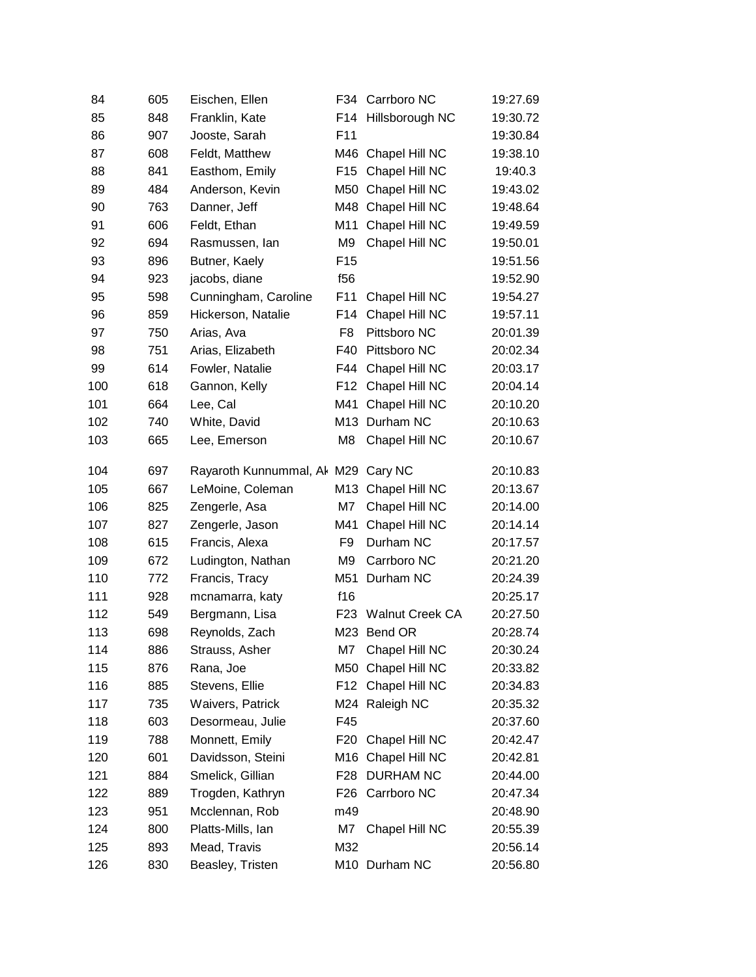| 84  | 605 | Eischen, Ellen                     | F34             | Carrboro NC            | 19:27.69 |
|-----|-----|------------------------------------|-----------------|------------------------|----------|
| 85  | 848 | Franklin, Kate                     | F14             | Hillsborough NC        | 19:30.72 |
| 86  | 907 | Jooste, Sarah                      | F <sub>11</sub> |                        | 19:30.84 |
| 87  | 608 | Feldt, Matthew                     | M46             | Chapel Hill NC         | 19:38.10 |
| 88  | 841 | Easthom, Emily                     | F <sub>15</sub> | Chapel Hill NC         | 19:40.3  |
| 89  | 484 | Anderson, Kevin                    | M50             | Chapel Hill NC         | 19:43.02 |
| 90  | 763 | Danner, Jeff                       | M48             | Chapel Hill NC         | 19:48.64 |
| 91  | 606 | Feldt, Ethan                       | M11             | Chapel Hill NC         | 19:49.59 |
| 92  | 694 | Rasmussen, lan                     | M <sub>9</sub>  | Chapel Hill NC         | 19:50.01 |
| 93  | 896 | Butner, Kaely                      | F <sub>15</sub> |                        | 19:51.56 |
| 94  | 923 | jacobs, diane                      | f56             |                        | 19:52.90 |
| 95  | 598 | Cunningham, Caroline               | F11             | Chapel Hill NC         | 19:54.27 |
| 96  | 859 | Hickerson, Natalie                 | F14             | Chapel Hill NC         | 19:57.11 |
| 97  | 750 | Arias, Ava                         | F <sub>8</sub>  | Pittsboro NC           | 20:01.39 |
| 98  | 751 | Arias, Elizabeth                   | F40             | Pittsboro NC           | 20:02.34 |
| 99  | 614 | Fowler, Natalie                    | F44             | Chapel Hill NC         | 20:03.17 |
| 100 | 618 | Gannon, Kelly                      | F12             | Chapel Hill NC         | 20:04.14 |
| 101 | 664 | Lee, Cal                           | M41             | Chapel Hill NC         | 20:10.20 |
| 102 | 740 | White, David                       | M13             | Durham NC              | 20:10.63 |
| 103 | 665 | Lee, Emerson                       | M8              | Chapel Hill NC         | 20:10.67 |
| 104 | 697 | Rayaroth Kunnummal, Ak M29 Cary NC |                 |                        | 20:10.83 |
| 105 | 667 | LeMoine, Coleman                   |                 | M13 Chapel Hill NC     | 20:13.67 |
| 106 | 825 | Zengerle, Asa                      | M7              | Chapel Hill NC         | 20:14.00 |
| 107 | 827 | Zengerle, Jason                    | M41             | Chapel Hill NC         | 20:14.14 |
| 108 | 615 | Francis, Alexa                     | F9              | Durham NC              | 20:17.57 |
| 109 | 672 | Ludington, Nathan                  | M9              | Carrboro NC            | 20:21.20 |
| 110 | 772 | Francis, Tracy                     | M51             | Durham NC              | 20:24.39 |
| 111 | 928 | mcnamarra, katy                    | f16             |                        | 20:25.17 |
| 112 | 549 | Bergmann, Lisa                     | F <sub>23</sub> | <b>Walnut Creek CA</b> | 20:27.50 |
| 113 | 698 | Reynolds, Zach                     |                 | M23 Bend OR            | 20:28.74 |
| 114 | 886 | Strauss, Asher                     | M7              | Chapel Hill NC         | 20:30.24 |
| 115 | 876 | Rana, Joe                          | M50             | Chapel Hill NC         | 20:33.82 |
| 116 | 885 | Stevens, Ellie                     | F12             | Chapel Hill NC         | 20:34.83 |
| 117 | 735 | Waivers, Patrick                   |                 | M24 Raleigh NC         | 20:35.32 |
| 118 | 603 | Desormeau, Julie                   | F45             |                        | 20:37.60 |
| 119 | 788 | Monnett, Emily                     | F20             | Chapel Hill NC         | 20:42.47 |
| 120 | 601 | Davidsson, Steini                  |                 | M16 Chapel Hill NC     | 20:42.81 |
| 121 | 884 | Smelick, Gillian                   | F28             | <b>DURHAM NC</b>       | 20:44.00 |
| 122 | 889 | Trogden, Kathryn                   | F26             | Carrboro NC            | 20:47.34 |
| 123 | 951 | Mcclennan, Rob                     | m49             |                        | 20:48.90 |
| 124 | 800 | Platts-Mills, Ian                  | M7              | Chapel Hill NC         | 20:55.39 |
| 125 | 893 | Mead, Travis                       | M32             |                        | 20:56.14 |
| 126 | 830 | Beasley, Tristen                   |                 | M10 Durham NC          | 20:56.80 |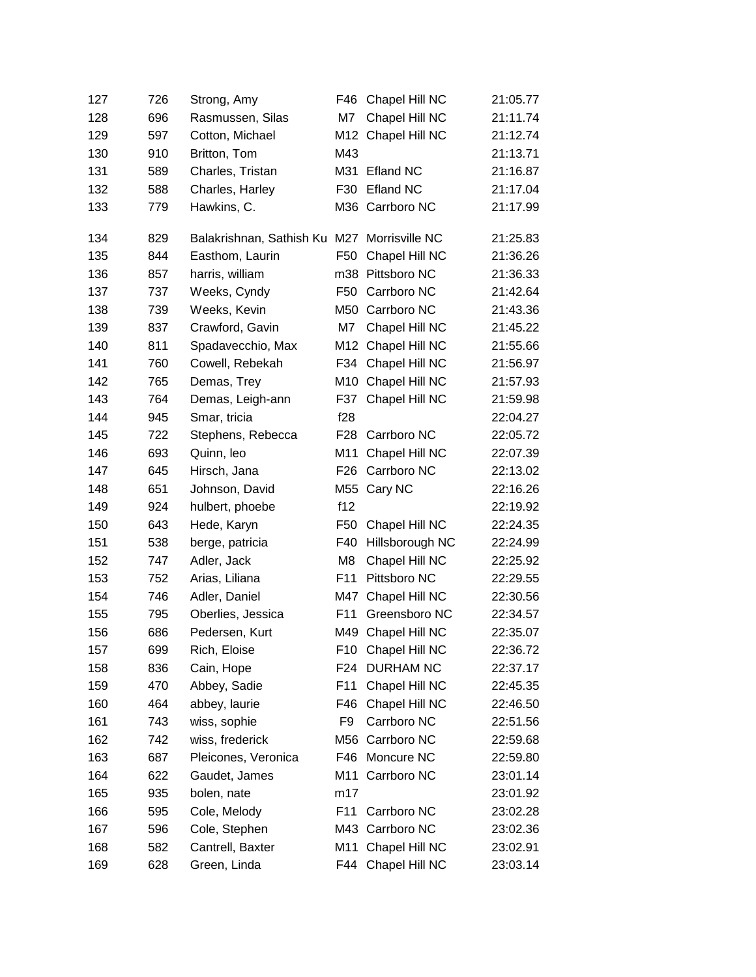| 127 | 726 | Strong, Amy                  | F46             | Chapel Hill NC     | 21:05.77 |
|-----|-----|------------------------------|-----------------|--------------------|----------|
| 128 | 696 | Rasmussen, Silas             | M7              | Chapel Hill NC     | 21:11.74 |
| 129 | 597 | Cotton, Michael              | M12             | Chapel Hill NC     | 21:12.74 |
| 130 | 910 | Britton, Tom                 | M43             |                    | 21:13.71 |
| 131 | 589 | Charles, Tristan             | M31             | <b>Efland NC</b>   | 21:16.87 |
| 132 | 588 | Charles, Harley              | F30             | <b>Efland NC</b>   | 21:17.04 |
| 133 | 779 | Hawkins, C.                  |                 | M36 Carrboro NC    | 21:17.99 |
| 134 | 829 | Balakrishnan, Sathish Ku M27 |                 | Morrisville NC     | 21:25.83 |
| 135 | 844 | Easthom, Laurin              | F50             | Chapel Hill NC     | 21:36.26 |
| 136 | 857 | harris, william              |                 | m38 Pittsboro NC   | 21:36.33 |
| 137 | 737 | Weeks, Cyndy                 | F <sub>50</sub> | Carrboro NC        | 21:42.64 |
| 138 | 739 | Weeks, Kevin                 | M50             | Carrboro NC        | 21:43.36 |
| 139 | 837 | Crawford, Gavin              | M7              | Chapel Hill NC     | 21:45.22 |
| 140 | 811 | Spadavecchio, Max            | M12             | Chapel Hill NC     | 21:55.66 |
| 141 | 760 | Cowell, Rebekah              | F34             | Chapel Hill NC     | 21:56.97 |
| 142 | 765 | Demas, Trey                  | M10             | Chapel Hill NC     | 21:57.93 |
| 143 | 764 | Demas, Leigh-ann             | F37             | Chapel Hill NC     | 21:59.98 |
| 144 | 945 | Smar, tricia                 | f28             |                    | 22:04.27 |
| 145 | 722 | Stephens, Rebecca            | F28             | Carrboro NC        | 22:05.72 |
| 146 | 693 | Quinn, leo                   | M11             | Chapel Hill NC     | 22:07.39 |
| 147 | 645 | Hirsch, Jana                 | F <sub>26</sub> | Carrboro NC        | 22:13.02 |
| 148 | 651 | Johnson, David               |                 | M55 Cary NC        | 22:16.26 |
| 149 | 924 | hulbert, phoebe              | f12             |                    | 22:19.92 |
| 150 | 643 | Hede, Karyn                  | F <sub>50</sub> | Chapel Hill NC     | 22:24.35 |
| 151 | 538 | berge, patricia              | F40             | Hillsborough NC    | 22:24.99 |
| 152 | 747 | Adler, Jack                  | M <sub>8</sub>  | Chapel Hill NC     | 22:25.92 |
| 153 | 752 | Arias, Liliana               | F11             | Pittsboro NC       | 22:29.55 |
| 154 | 746 | Adler, Daniel                | M47             | Chapel Hill NC     | 22:30.56 |
| 155 | 795 | Oberlies, Jessica            | F11             | Greensboro NC      | 22:34.57 |
| 156 | 686 | Pedersen, Kurt               | M49             | Chapel Hill NC     | 22:35.07 |
| 157 | 699 | Rich, Eloise                 | F10             | Chapel Hill NC     | 22:36.72 |
| 158 | 836 | Cain, Hope                   | F <sub>24</sub> | <b>DURHAM NC</b>   | 22:37.17 |
| 159 | 470 | Abbey, Sadie                 | F11             | Chapel Hill NC     | 22:45.35 |
| 160 | 464 | abbey, laurie                | F46             | Chapel Hill NC     | 22:46.50 |
| 161 | 743 | wiss, sophie                 | F9              | Carrboro NC        | 22:51.56 |
| 162 | 742 | wiss, frederick              | M56             | Carrboro NC        | 22:59.68 |
| 163 | 687 | Pleicones, Veronica          | F46             | Moncure NC         | 22:59.80 |
| 164 | 622 | Gaudet, James                | M11             | Carrboro NC        | 23:01.14 |
| 165 | 935 | bolen, nate                  | m17             |                    | 23:01.92 |
| 166 | 595 | Cole, Melody                 | F11             | Carrboro NC        | 23:02.28 |
| 167 | 596 | Cole, Stephen                |                 | M43 Carrboro NC    | 23:02.36 |
| 168 | 582 | Cantrell, Baxter             | M11             | Chapel Hill NC     | 23:02.91 |
| 169 | 628 | Green, Linda                 |                 | F44 Chapel Hill NC | 23:03.14 |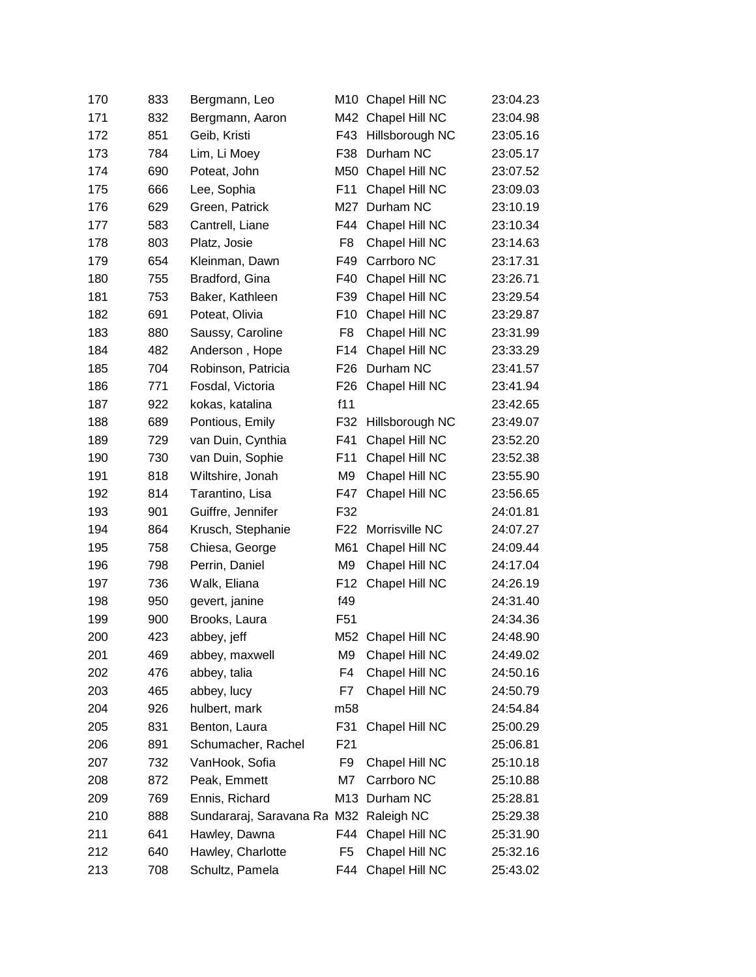| 170 | 833 | Bergmann, Leo                          | M10             | Chapel Hill NC     | 23:04.23 |
|-----|-----|----------------------------------------|-----------------|--------------------|----------|
| 171 | 832 | Bergmann, Aaron                        | M42             | Chapel Hill NC     | 23:04.98 |
| 172 | 851 | Geib, Kristi                           | F43             | Hillsborough NC    | 23:05.16 |
| 173 | 784 | Lim, Li Moey                           | F38             | Durham NC          | 23:05.17 |
| 174 | 690 | Poteat, John                           | M50             | Chapel Hill NC     | 23:07.52 |
| 175 | 666 | Lee, Sophia                            | F11             | Chapel Hill NC     | 23:09.03 |
| 176 | 629 | Green, Patrick                         | M27             | Durham NC          | 23:10.19 |
| 177 | 583 | Cantrell, Liane                        | F44             | Chapel Hill NC     | 23:10.34 |
| 178 | 803 | Platz, Josie                           | F8              | Chapel Hill NC     | 23:14.63 |
| 179 | 654 | Kleinman, Dawn                         | F49             | Carrboro NC        | 23:17.31 |
| 180 | 755 | Bradford, Gina                         | F40             | Chapel Hill NC     | 23:26.71 |
| 181 | 753 | Baker, Kathleen                        | F39             | Chapel Hill NC     | 23:29.54 |
| 182 | 691 | Poteat, Olivia                         | F <sub>10</sub> | Chapel Hill NC     | 23:29.87 |
| 183 | 880 | Saussy, Caroline                       | F8              | Chapel Hill NC     | 23:31.99 |
| 184 | 482 | Anderson, Hope                         | F14             | Chapel Hill NC     | 23:33.29 |
| 185 | 704 | Robinson, Patricia                     | F <sub>26</sub> | Durham NC          | 23:41.57 |
| 186 | 771 | Fosdal, Victoria                       | F <sub>26</sub> | Chapel Hill NC     | 23:41.94 |
| 187 | 922 | kokas, katalina                        | f11             |                    | 23:42.65 |
| 188 | 689 | Pontious, Emily                        | F32             | Hillsborough NC    | 23:49.07 |
| 189 | 729 | van Duin, Cynthia                      | F41             | Chapel Hill NC     | 23:52.20 |
| 190 | 730 | van Duin, Sophie                       | F11             | Chapel Hill NC     | 23:52.38 |
| 191 | 818 | Wiltshire, Jonah                       | M <sub>9</sub>  | Chapel Hill NC     | 23:55.90 |
| 192 | 814 | Tarantino, Lisa                        | F47             | Chapel Hill NC     | 23:56.65 |
| 193 | 901 | Guiffre, Jennifer                      | F32             |                    | 24:01.81 |
| 194 | 864 | Krusch, Stephanie                      | F <sub>22</sub> | Morrisville NC     | 24:07.27 |
| 195 | 758 | Chiesa, George                         | M61             | Chapel Hill NC     | 24:09.44 |
| 196 | 798 | Perrin, Daniel                         | M <sub>9</sub>  | Chapel Hill NC     | 24:17.04 |
| 197 | 736 | Walk, Eliana                           | F <sub>12</sub> | Chapel Hill NC     | 24:26.19 |
| 198 | 950 | gevert, janine                         | f49             |                    | 24:31.40 |
| 199 | 900 | Brooks, Laura                          | F51             |                    | 24:34.36 |
| 200 | 423 | abbey, jeff                            |                 | M52 Chapel Hill NC | 24:48.90 |
| 201 | 469 | abbey, maxwell                         | M9              | Chapel Hill NC     | 24:49.02 |
| 202 | 476 | abbey, talia                           | F4              | Chapel Hill NC     | 24:50.16 |
| 203 | 465 | abbey, lucy                            | F7              | Chapel Hill NC     | 24:50.79 |
| 204 | 926 | hulbert, mark                          | m58             |                    | 24:54.84 |
| 205 | 831 | Benton, Laura                          | F31             | Chapel Hill NC     | 25:00.29 |
| 206 | 891 | Schumacher, Rachel                     | F <sub>21</sub> |                    | 25:06.81 |
| 207 | 732 | VanHook, Sofia                         | F9              | Chapel Hill NC     | 25:10.18 |
| 208 | 872 | Peak, Emmett                           | M7              | Carrboro NC        | 25:10.88 |
| 209 | 769 | Ennis, Richard                         | M13             | Durham NC          | 25:28.81 |
| 210 | 888 | Sundararaj, Saravana Ra M32 Raleigh NC |                 |                    | 25:29.38 |
| 211 | 641 | Hawley, Dawna                          | F44             | Chapel Hill NC     | 25:31.90 |
| 212 | 640 | Hawley, Charlotte                      | F <sub>5</sub>  | Chapel Hill NC     | 25:32.16 |
| 213 | 708 | Schultz, Pamela                        | F44             | Chapel Hill NC     | 25:43.02 |
|     |     |                                        |                 |                    |          |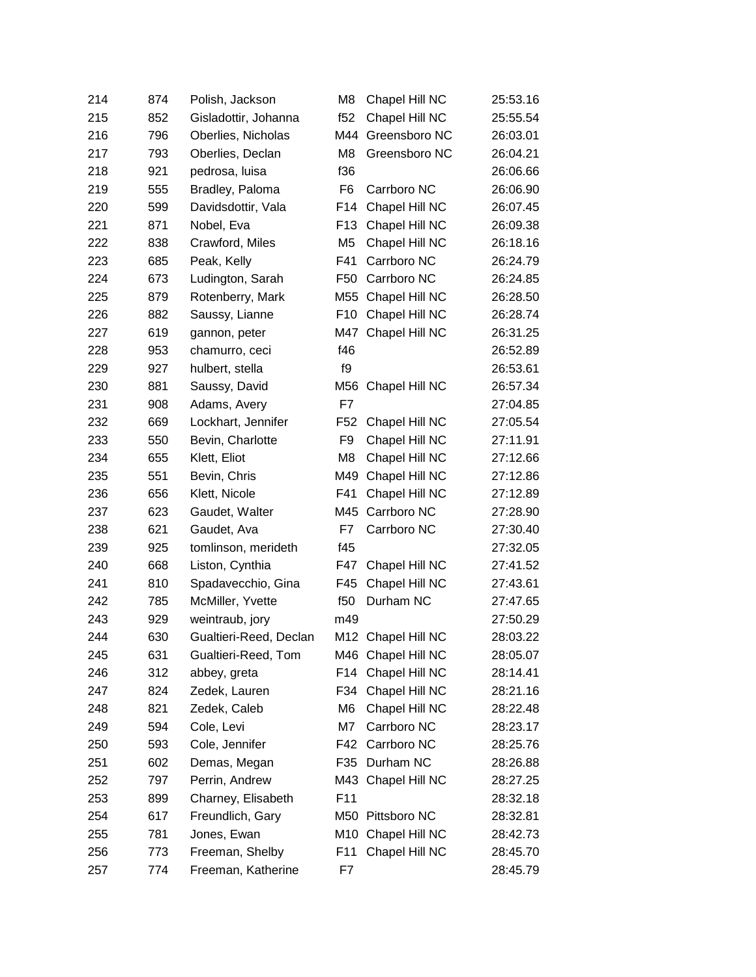| 214 | 874 | Polish, Jackson        | M8              | Chapel Hill NC     | 25:53.16 |
|-----|-----|------------------------|-----------------|--------------------|----------|
| 215 | 852 | Gisladottir, Johanna   | f52             | Chapel Hill NC     | 25:55.54 |
| 216 | 796 | Oberlies, Nicholas     | M44             | Greensboro NC      | 26:03.01 |
| 217 | 793 | Oberlies, Declan       | M <sub>8</sub>  | Greensboro NC      | 26:04.21 |
| 218 | 921 | pedrosa, luisa         | f36             |                    | 26:06.66 |
| 219 | 555 | Bradley, Paloma        | F6              | Carrboro NC        | 26:06.90 |
| 220 | 599 | Davidsdottir, Vala     | F14             | Chapel Hill NC     | 26:07.45 |
| 221 | 871 | Nobel, Eva             | F <sub>13</sub> | Chapel Hill NC     | 26:09.38 |
| 222 | 838 | Crawford, Miles        | M <sub>5</sub>  | Chapel Hill NC     | 26:18.16 |
| 223 | 685 | Peak, Kelly            | F41             | Carrboro NC        | 26:24.79 |
| 224 | 673 | Ludington, Sarah       | F50             | Carrboro NC        | 26:24.85 |
| 225 | 879 | Rotenberry, Mark       | M55             | Chapel Hill NC     | 26:28.50 |
| 226 | 882 | Saussy, Lianne         | F <sub>10</sub> | Chapel Hill NC     | 26:28.74 |
| 227 | 619 | gannon, peter          | M47             | Chapel Hill NC     | 26:31.25 |
| 228 | 953 | chamurro, ceci         | f46             |                    | 26:52.89 |
| 229 | 927 | hulbert, stella        | f9              |                    | 26:53.61 |
| 230 | 881 | Saussy, David          | M56             | Chapel Hill NC     | 26:57.34 |
| 231 | 908 | Adams, Avery           | F7              |                    | 27:04.85 |
| 232 | 669 | Lockhart, Jennifer     | F52             | Chapel Hill NC     | 27:05.54 |
| 233 | 550 | Bevin, Charlotte       | F9              | Chapel Hill NC     | 27:11.91 |
| 234 | 655 | Klett, Eliot           | M <sub>8</sub>  | Chapel Hill NC     | 27:12.66 |
| 235 | 551 | Bevin, Chris           | M49             | Chapel Hill NC     | 27:12.86 |
| 236 | 656 | Klett, Nicole          | F41             | Chapel Hill NC     | 27:12.89 |
| 237 | 623 | Gaudet, Walter         | M45             | Carrboro NC        | 27:28.90 |
| 238 | 621 | Gaudet, Ava            | F7              | Carrboro NC        | 27:30.40 |
| 239 | 925 | tomlinson, merideth    | f45             |                    | 27:32.05 |
| 240 | 668 | Liston, Cynthia        | F47             | Chapel Hill NC     | 27:41.52 |
| 241 | 810 | Spadavecchio, Gina     | F45             | Chapel Hill NC     | 27:43.61 |
| 242 | 785 | McMiller, Yvette       | f50             | Durham NC          | 27:47.65 |
| 243 | 929 | weintraub, jory        | m49             |                    | 27:50.29 |
| 244 | 630 | Gualtieri-Reed, Declan |                 | M12 Chapel Hill NC | 28:03.22 |
| 245 | 631 | Gualtieri-Reed, Tom    |                 | M46 Chapel Hill NC | 28:05.07 |
| 246 | 312 | abbey, greta           | F14             | Chapel Hill NC     | 28:14.41 |
| 247 | 824 | Zedek, Lauren          | F34             | Chapel Hill NC     | 28:21.16 |
| 248 | 821 | Zedek, Caleb           | M6              | Chapel Hill NC     | 28:22.48 |
| 249 | 594 | Cole, Levi             | M7              | Carrboro NC        | 28:23.17 |
| 250 | 593 | Cole, Jennifer         | F42             | Carrboro NC        | 28:25.76 |
| 251 | 602 | Demas, Megan           | F35             | Durham NC          | 28:26.88 |
| 252 | 797 | Perrin, Andrew         |                 | M43 Chapel Hill NC | 28:27.25 |
| 253 | 899 | Charney, Elisabeth     | F11             |                    | 28:32.18 |
| 254 | 617 | Freundlich, Gary       |                 | M50 Pittsboro NC   | 28:32.81 |
| 255 | 781 | Jones, Ewan            | M10             | Chapel Hill NC     | 28:42.73 |
| 256 | 773 | Freeman, Shelby        | F11             | Chapel Hill NC     | 28:45.70 |
| 257 | 774 | Freeman, Katherine     | F7              |                    | 28:45.79 |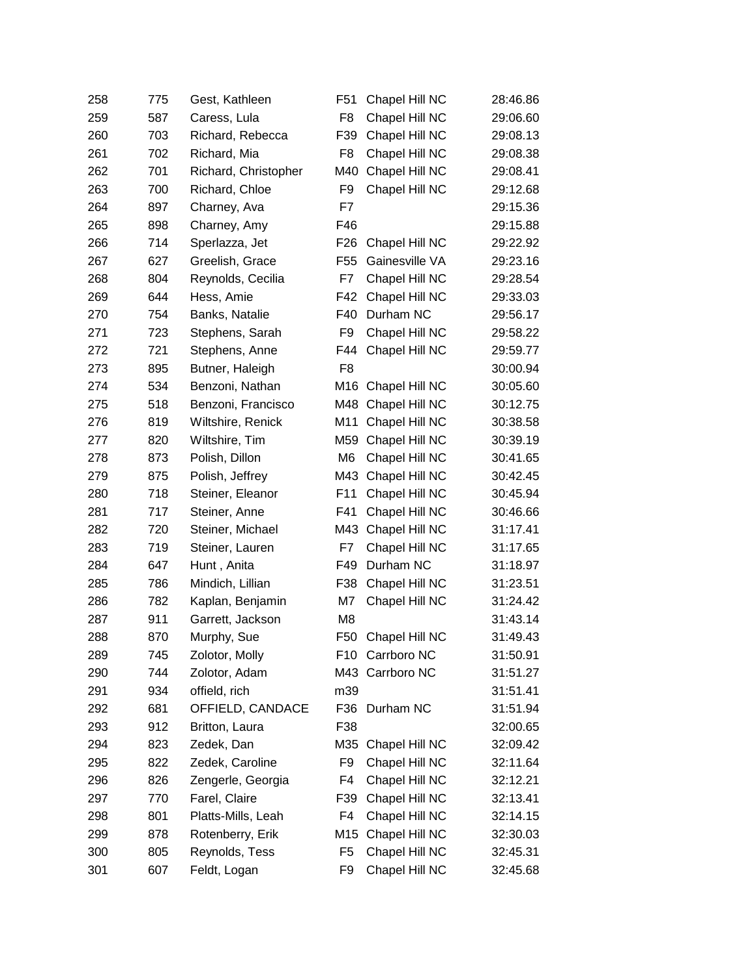| 258 | 775 | Gest, Kathleen       | F51             | Chapel Hill NC  | 28:46.86 |
|-----|-----|----------------------|-----------------|-----------------|----------|
| 259 | 587 | Caress, Lula         | F <sub>8</sub>  | Chapel Hill NC  | 29:06.60 |
| 260 | 703 | Richard, Rebecca     | F39             | Chapel Hill NC  | 29:08.13 |
| 261 | 702 | Richard, Mia         | F <sub>8</sub>  | Chapel Hill NC  | 29:08.38 |
| 262 | 701 | Richard, Christopher | M40             | Chapel Hill NC  | 29:08.41 |
| 263 | 700 | Richard, Chloe       | F9              | Chapel Hill NC  | 29:12.68 |
| 264 | 897 | Charney, Ava         | F7              |                 | 29:15.36 |
| 265 | 898 | Charney, Amy         | F46             |                 | 29:15.88 |
| 266 | 714 | Sperlazza, Jet       | F <sub>26</sub> | Chapel Hill NC  | 29:22.92 |
| 267 | 627 | Greelish, Grace      | F <sub>55</sub> | Gainesville VA  | 29:23.16 |
| 268 | 804 | Reynolds, Cecilia    | F7              | Chapel Hill NC  | 29:28.54 |
| 269 | 644 | Hess, Amie           | F42             | Chapel Hill NC  | 29:33.03 |
| 270 | 754 | Banks, Natalie       | F40             | Durham NC       | 29:56.17 |
| 271 | 723 | Stephens, Sarah      | F <sub>9</sub>  | Chapel Hill NC  | 29:58.22 |
| 272 | 721 | Stephens, Anne       | F44             | Chapel Hill NC  | 29:59.77 |
| 273 | 895 | Butner, Haleigh      | F <sub>8</sub>  |                 | 30:00.94 |
| 274 | 534 | Benzoni, Nathan      | M16             | Chapel Hill NC  | 30:05.60 |
| 275 | 518 | Benzoni, Francisco   | M48             | Chapel Hill NC  | 30:12.75 |
| 276 | 819 | Wiltshire, Renick    | M11             | Chapel Hill NC  | 30:38.58 |
| 277 | 820 | Wiltshire, Tim       | M59             | Chapel Hill NC  | 30:39.19 |
| 278 | 873 | Polish, Dillon       | M <sub>6</sub>  | Chapel Hill NC  | 30:41.65 |
| 279 | 875 | Polish, Jeffrey      | M43             | Chapel Hill NC  | 30:42.45 |
| 280 | 718 | Steiner, Eleanor     | F <sub>11</sub> | Chapel Hill NC  | 30:45.94 |
| 281 | 717 | Steiner, Anne        | F41             | Chapel Hill NC  | 30:46.66 |
| 282 | 720 | Steiner, Michael     | M43             | Chapel Hill NC  | 31:17.41 |
| 283 | 719 | Steiner, Lauren      | F7              | Chapel Hill NC  | 31:17.65 |
| 284 | 647 | Hunt, Anita          | F49             | Durham NC       | 31:18.97 |
| 285 | 786 | Mindich, Lillian     | F38             | Chapel Hill NC  | 31:23.51 |
| 286 | 782 | Kaplan, Benjamin     | M7              | Chapel Hill NC  | 31:24.42 |
| 287 | 911 | Garrett, Jackson     | M <sub>8</sub>  |                 | 31:43.14 |
| 288 | 870 | Murphy, Sue          | F50             | Chapel Hill NC  | 31:49.43 |
| 289 | 745 | Zolotor, Molly       | F10             | Carrboro NC     | 31:50.91 |
| 290 | 744 | Zolotor, Adam        |                 | M43 Carrboro NC | 31:51.27 |
| 291 | 934 | offield, rich        | m39             |                 | 31:51.41 |
| 292 | 681 | OFFIELD, CANDACE     | F36             | Durham NC       | 31:51.94 |
| 293 | 912 | Britton, Laura       | F38             |                 | 32:00.65 |
| 294 | 823 | Zedek, Dan           | M35             | Chapel Hill NC  | 32:09.42 |
| 295 | 822 | Zedek, Caroline      | F9              | Chapel Hill NC  | 32:11.64 |
| 296 | 826 | Zengerle, Georgia    | F4              | Chapel Hill NC  | 32:12.21 |
| 297 | 770 | Farel, Claire        | F39             | Chapel Hill NC  | 32:13.41 |
| 298 | 801 | Platts-Mills, Leah   | F4              | Chapel Hill NC  | 32:14.15 |
| 299 | 878 | Rotenberry, Erik     | M15             | Chapel Hill NC  | 32:30.03 |
| 300 | 805 | Reynolds, Tess       | F <sub>5</sub>  | Chapel Hill NC  | 32:45.31 |
| 301 | 607 | Feldt, Logan         | F9              | Chapel Hill NC  | 32:45.68 |